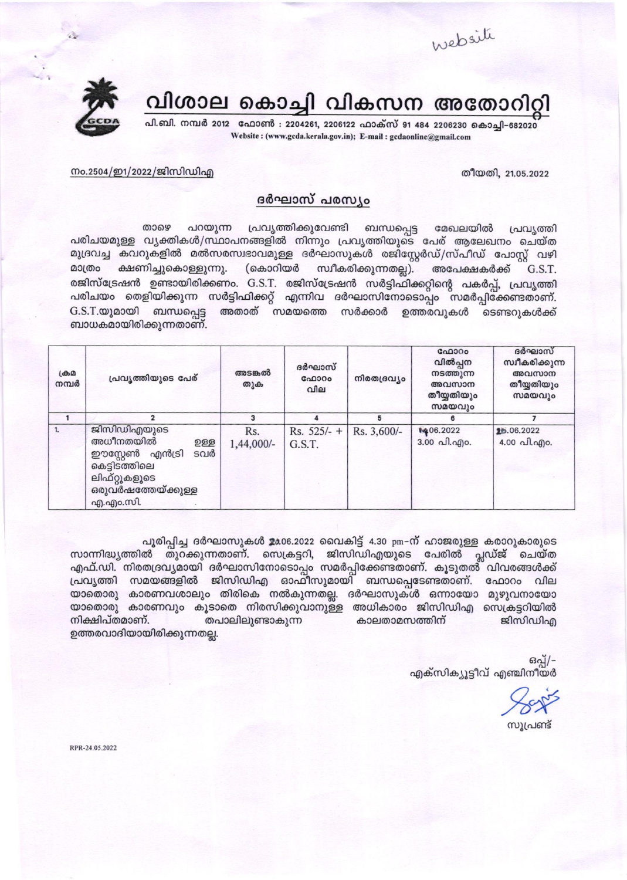website



# വിശാല കൊച്ചി വികസന അതോറിറ്റി

പി.ബി. നമ്പർ 2012 ഫോൺ : 2204261, 2206122 ഫാക്സ് 91 484 2206230 കൊച്ചി-682020 Website: (www.gcda.kerala.gov.in); E-mail: gcdaonline@gmail.com

#### തീയതി. 21.05.2022

#### നം.2504/ഇ1/2022/ജിസിഡിഎ

## ദർഘാസ് പരസ്യം

പ്രവൃത്തിക്കുവേണ്ടി ബന്ധപ്പെട്ട പറയുന്ന താഴെ മേഖലയിൽ പ്രവ്യത്തി പരിചയമുള്ള വൃക്തികൾ/സ്ഥാപനങ്ങളിൽ നിന്നും പ്രവൃത്തിയുടെ പേര് ആലേഖനം ചെയ്ത മുദ്രവച്ച കവറുകളിൽ മൽസരസ്വഭാവമുള്ള ദർഘാസുകൾ രജിസ്റ്റേർഡ്/സ്പീഡ് പോസ്റ്റ് വഴി മാത്രം ക്ഷണിച്ചുകൊള്ളുന്നു. (കൊറിയർ സ്വീകരിക്കുന്നതല്ല). അപേക്ഷകർക്ക് G.S.T. രജിസ്ട്രേഷൻ ഉണ്ടായിരിക്കണം. G.S.T. രജിസ്ട്രേഷൻ സർട്ടിഫിക്കറ്റിന്റെ പകർപ്പ്, പ്രവൃത്തി പരിചയം തെളിയിക്കുന്ന സർട്ടിഫിക്കറ്റ് എന്നിവ ദർഘാസിനോടൊപ്പം സമർപ്പിക്കേണ്ടതാണ്.  $G.S.T.\omega$ ) മായി ബന്ധപ്പെട്ട അതാത് സമയത്തെ സർക്കാർ ഉത്തരവുകൾ ടെണ്ടറുകൾക്ക് ബാധകമായിരിക്കുന്നതാണ്.

| $L \oplus \Omega$<br>നമ്പർ | പ്രവ്യത്തിയുടെ പേര്                                                                                                               | അടങ്കൽ<br>തുക     | ദർഘാസ്<br>ഫോറം<br>വില   | നിരതദ്രവ്യം | ഫോറം<br>വിൽപ്പന<br>നടത്തുന്ന<br>അവസാന<br>തീയ്യതിയും<br>സമയവും | ദർഘാസ്<br>സ്വീകരിക്കുന്ന<br>അവസാന<br>തീയ്യതിയും<br>സമയവും |
|----------------------------|-----------------------------------------------------------------------------------------------------------------------------------|-------------------|-------------------------|-------------|---------------------------------------------------------------|-----------------------------------------------------------|
|                            | 2                                                                                                                                 | 3                 | 4                       | 5           | 6                                                             |                                                           |
| 1.                         | ജിസിഡിഎയുടെ<br>അധീനതയിൽ<br>ഉള്ള<br>ടവർ<br>ഈസ്റ്റേൺ<br>എൻട്രി<br>കെട്ടിടത്തിലെ<br>ലിഫ്റ്റുകളുടെ<br>ഒരുവർഷത്തേയ്ക്കുള്ള<br>എ.എം.സി. | Rs.<br>1,44,000/- | $Rs. 525/- +$<br>G.S.T. | Rs. 3,600/- | 1406.2022<br>3.00 പി.എo.                                      | 26.06.2022<br>4.00 പി.എo.                                 |

പൂരിപ്പിച്ച ദർഘാസുകൾ 2006.2022 വൈകിട്ട് 4.30 pm-ന് ഹാജരുള്ള കരാറുകാരുടെ സാന്നിദ്ധ്യത്തിൽ തുറക്കുന്നതാണ്. സെക്രട്ടറി, ജിസിഡിഎയുടെ പേരിൽ പ്ലഡ്ജ് ചെയ്ത എഫ്.ഡി. നിരതദ്രവ്യമായി ദർഘാസിനോടൊപ്പം സമർപ്പിക്കേണ്ടതാണ്. കൂടുതൽ വിവരങ്ങൾക്ക് യാതൊരു കാരണവശാലും തിരികെ നൽകുന്നതല്ല. ദർഘാസുകൾ ഒന്നായോ മുഴുവനായോ യാതൊരു കാരണവും കൂടാതെ നിരസിക്കുവാനുള്ള അധികാരം ജിസിഡിഎ സെക്രട്ടറിയിൽ നിക്ഷിപ്തമാണ്. തപാലിലുണ്ടാകുന്ന കാലതാമസത്തിന് ജിസിഡിഎ ഉത്തരവാദിയായിരിക്കുന്നതല്ല.

> ഒപ്പ്/-എക്സിക്യൂട്ടീവ് എഞ്ചിനീയർ

സൂപ്രണ്ട്

RPR-24.05.2022